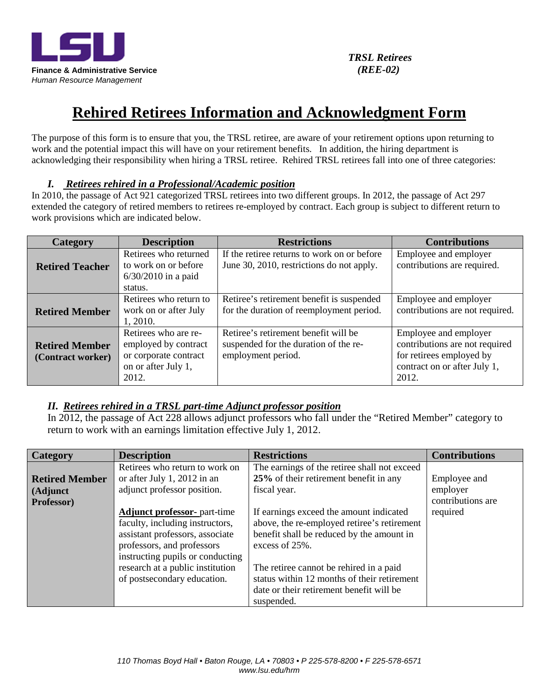

# **Rehired Retirees Information and Acknowledgment Form**

The purpose of this form is to ensure that you, the TRSL retiree, are aware of your retirement options upon returning to work and the potential impact this will have on your retirement benefits. In addition, the hiring department is acknowledging their responsibility when hiring a TRSL retiree. Rehired TRSL retirees fall into one of three categories:

#### *I. Retirees rehired in a Professional/Academic position*

In 2010, the passage of Act 921 categorized TRSL retirees into two different groups. In 2012, the passage of Act 297 extended the category of retired members to retirees re-employed by contract. Each group is subject to different return to work provisions which are indicated below.

| Category                                   | <b>Description</b>                                                                                    | <b>Restrictions</b>                                                                                 | <b>Contributions</b>                                                                                                         |
|--------------------------------------------|-------------------------------------------------------------------------------------------------------|-----------------------------------------------------------------------------------------------------|------------------------------------------------------------------------------------------------------------------------------|
| <b>Retired Teacher</b>                     | Retirees who returned<br>to work on or before<br>$6/30/2010$ in a paid<br>status.                     | If the retiree returns to work on or before<br>June 30, 2010, restrictions do not apply.            | Employee and employer<br>contributions are required.                                                                         |
| <b>Retired Member</b>                      | Retirees who return to<br>work on or after July<br>1, 2010.                                           | Retiree's retirement benefit is suspended<br>for the duration of reemployment period.               | Employee and employer<br>contributions are not required.                                                                     |
| <b>Retired Member</b><br>(Contract worker) | Retirees who are re-<br>employed by contract<br>or corporate contract<br>on or after July 1,<br>2012. | Retiree's retirement benefit will be<br>suspended for the duration of the re-<br>employment period. | Employee and employer<br>contributions are not required<br>for retirees employed by<br>contract on or after July 1,<br>2012. |

#### *II. Retirees rehired in a TRSL part-time Adjunct professor position*

In 2012, the passage of Act 228 allows adjunct professors who fall under the "Retired Member" category to return to work with an earnings limitation effective July 1, 2012.

| Category              | <b>Description</b>                  | <b>Restrictions</b>                          | <b>Contributions</b> |
|-----------------------|-------------------------------------|----------------------------------------------|----------------------|
|                       | Retirees who return to work on      | The earnings of the retiree shall not exceed |                      |
| <b>Retired Member</b> | or after July 1, 2012 in an         | 25% of their retirement benefit in any       | Employee and         |
| (Adjunct              | adjunct professor position.         | fiscal year.                                 | employer             |
| Professor)            |                                     |                                              | contributions are    |
|                       | <b>Adjunct professor-</b> part-time | If earnings exceed the amount indicated      | required             |
|                       | faculty, including instructors,     | above, the re-employed retiree's retirement  |                      |
|                       | assistant professors, associate     | benefit shall be reduced by the amount in    |                      |
|                       | professors, and professors          | excess of $25%$ .                            |                      |
|                       | instructing pupils or conducting    |                                              |                      |
|                       | research at a public institution    | The retiree cannot be rehired in a paid      |                      |
|                       | of postsecondary education.         | status within 12 months of their retirement  |                      |
|                       |                                     | date or their retirement benefit will be     |                      |
|                       |                                     | suspended.                                   |                      |